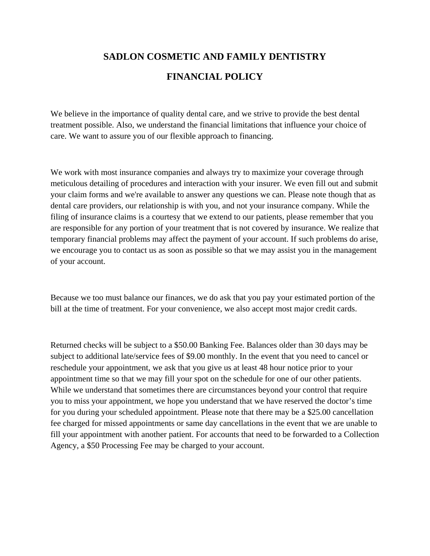## **SADLON COSMETIC AND FAMILY DENTISTRY FINANCIAL POLICY**

We believe in the importance of quality dental care, and we strive to provide the best dental treatment possible. Also, we understand the financial limitations that influence your choice of care. We want to assure you of our flexible approach to financing.

We work with most insurance companies and always try to maximize your coverage through meticulous detailing of procedures and interaction with your insurer. We even fill out and submit your claim forms and we're available to answer any questions we can. Please note though that as dental care providers, our relationship is with you, and not your insurance company. While the filing of insurance claims is a courtesy that we extend to our patients, please remember that you are responsible for any portion of your treatment that is not covered by insurance. We realize that temporary financial problems may affect the payment of your account. If such problems do arise, we encourage you to contact us as soon as possible so that we may assist you in the management of your account.

Because we too must balance our finances, we do ask that you pay your estimated portion of the bill at the time of treatment. For your convenience, we also accept most major credit cards.

Returned checks will be subject to a \$50.00 Banking Fee. Balances older than 30 days may be subject to additional late/service fees of \$9.00 monthly. In the event that you need to cancel or reschedule your appointment, we ask that you give us at least 48 hour notice prior to your appointment time so that we may fill your spot on the schedule for one of our other patients. While we understand that sometimes there are circumstances beyond your control that require you to miss your appointment, we hope you understand that we have reserved the doctor's time for you during your scheduled appointment. Please note that there may be a \$25.00 cancellation fee charged for missed appointments or same day cancellations in the event that we are unable to fill your appointment with another patient. For accounts that need to be forwarded to a Collection Agency, a \$50 Processing Fee may be charged to your account.